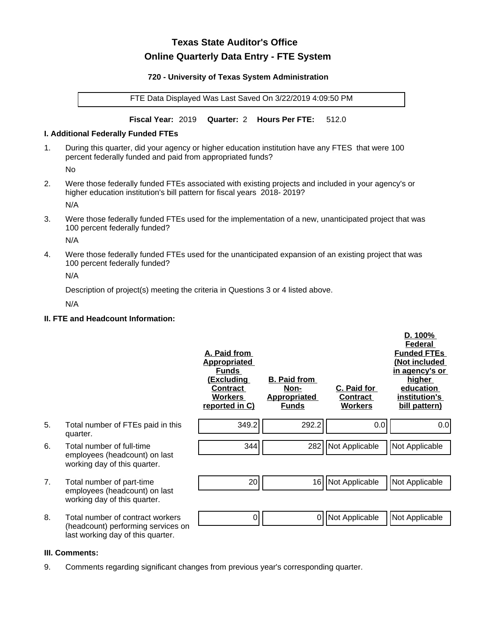# **Texas State Auditor's Office Online Quarterly Data Entry - FTE System**

#### **720 - University of Texas System Administration**

FTE Data Displayed Was Last Saved On 3/22/2019 4:09:50 PM

**Fiscal Year:** 2019 **Quarter:** 2 **Hours Per FTE:** 512.0

#### **I. Additional Federally Funded FTEs**

1. During this quarter, did your agency or higher education institution have any FTES that were 100 percent federally funded and paid from appropriated funds?

No

2. Were those federally funded FTEs associated with existing projects and included in your agency's or higher education institution's bill pattern for fiscal years 2018- 2019?

N/A

3. Were those federally funded FTEs used for the implementation of a new, unanticipated project that was 100 percent federally funded?

N/A

4. Were those federally funded FTEs used for the unanticipated expansion of an existing project that was 100 percent federally funded?

N/A

Description of project(s) meeting the criteria in Questions 3 or 4 listed above.

N/A

## **II. FTE and Headcount Information:**

|    |                                                                                                             | A. Paid from<br><b>Appropriated</b><br><b>Funds</b><br><u>(Excluding</u><br><b>Contract</b><br><b>Workers</b><br>reported in C) | <b>B. Paid from</b><br><u>Non-</u><br><b>Appropriated</b><br><b>Funds</b> | <b>C. Paid for</b><br>Contract<br><b>Workers</b> | D. 100%<br><b>Federal</b><br><b>Funded FTEs</b><br>(Not included<br>in agency's or<br><u>higher</u><br>education<br>institution's<br>bill pattern) |
|----|-------------------------------------------------------------------------------------------------------------|---------------------------------------------------------------------------------------------------------------------------------|---------------------------------------------------------------------------|--------------------------------------------------|----------------------------------------------------------------------------------------------------------------------------------------------------|
| 5. | Total number of FTEs paid in this<br>quarter.                                                               | 349.2                                                                                                                           | 292.2                                                                     | 0.0                                              | 0.0                                                                                                                                                |
| 6. | Total number of full-time<br>employees (headcount) on last<br>working day of this quarter.                  | 344                                                                                                                             | 282                                                                       | Not Applicable                                   | Not Applicable                                                                                                                                     |
| 7. | Total number of part-time<br>employees (headcount) on last<br>working day of this quarter.                  | 20                                                                                                                              | 16                                                                        | Not Applicable                                   | Not Applicable                                                                                                                                     |
| 8. | Total number of contract workers<br>(headcount) performing services on<br>last working day of this quarter. | 0                                                                                                                               | 0                                                                         | Not Applicable                                   | Not Applicable                                                                                                                                     |

## **III. Comments:**

9. Comments regarding significant changes from previous year's corresponding quarter.